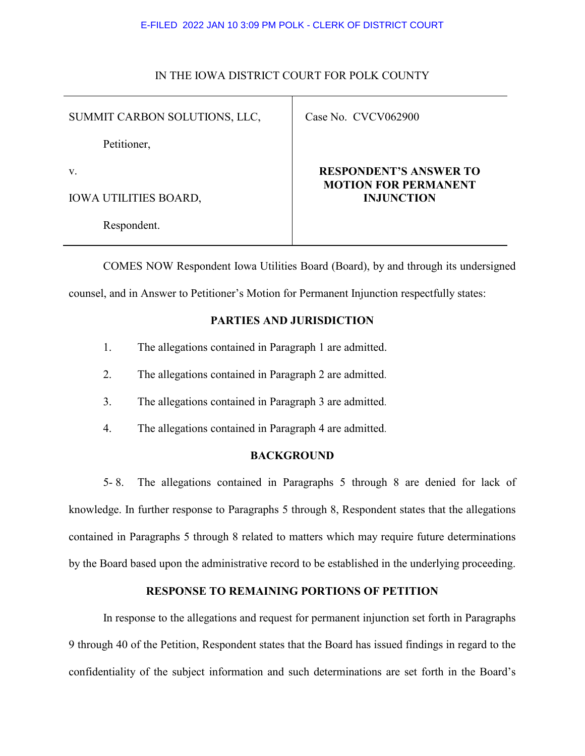#### E-FILED 2022 JAN 10 3:09 PM POLK - CLERK OF DISTRICT COURT

#### IN THE IOWA DISTRICT COURT FOR POLK COUNTY

SUMMIT CARBON SOLUTIONS, LLC,

Case No. CVCV062900

Petitioner,

v.

IOWA UTILITIES BOARD,

Respondent.

# **RESPONDENT'S ANSWER TO MOTION FOR PERMANENT INJUNCTION**

COMES NOW Respondent Iowa Utilities Board (Board), by and through its undersigned counsel, and in Answer to Petitioner's Motion for Permanent Injunction respectfully states:

# **PARTIES AND JURISDICTION**

- 1. The allegations contained in Paragraph 1 are admitted.
- 2. The allegations contained in Paragraph 2 are admitted.
- 3. The allegations contained in Paragraph 3 are admitted.
- 4. The allegations contained in Paragraph 4 are admitted.

## **BACKGROUND**

5- 8. The allegations contained in Paragraphs 5 through 8 are denied for lack of knowledge. In further response to Paragraphs 5 through 8, Respondent states that the allegations contained in Paragraphs 5 through 8 related to matters which may require future determinations by the Board based upon the administrative record to be established in the underlying proceeding.

## **RESPONSE TO REMAINING PORTIONS OF PETITION**

In response to the allegations and request for permanent injunction set forth in Paragraphs 9 through 40 of the Petition, Respondent states that the Board has issued findings in regard to the confidentiality of the subject information and such determinations are set forth in the Board's